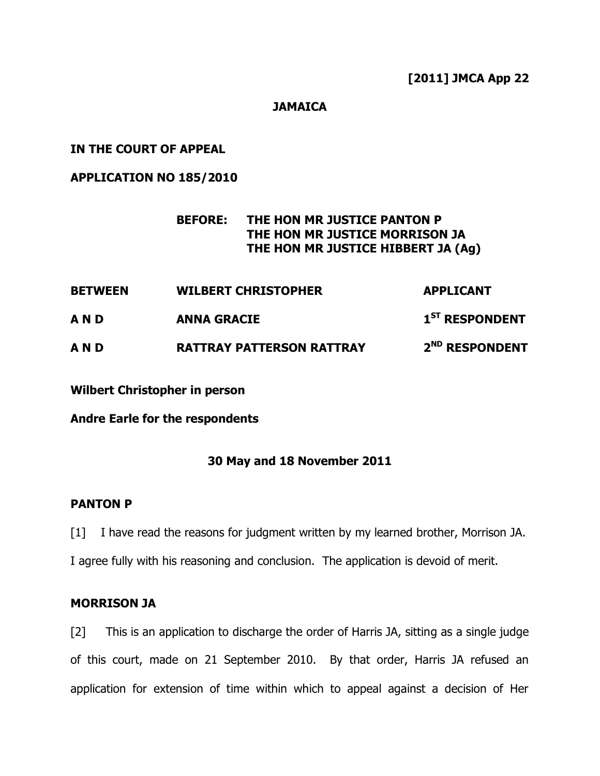## **JAMAICA**

## **IN THE COURT OF APPEAL**

**APPLICATION NO 185/2010**

## **BEFORE: THE HON MR JUSTICE PANTON P THE HON MR JUSTICE MORRISON JA THE HON MR JUSTICE HIBBERT JA (Ag)**

**BETWEEN WILBERT CHRISTOPHER APPLICANT A N D ANNA GRACIE 1 ST RESPONDENT A N D RATTRAY PATTERSON RATTRAY 2 ND RESPONDENT**

**Wilbert Christopher in person**

**Andre Earle for the respondents**

#### **30 May and 18 November 2011**

#### **PANTON P**

[1] I have read the reasons for judgment written by my learned brother, Morrison JA. I agree fully with his reasoning and conclusion. The application is devoid of merit.

#### **MORRISON JA**

[2] This is an application to discharge the order of Harris JA, sitting as a single judge of this court, made on 21 September 2010. By that order, Harris JA refused an application for extension of time within which to appeal against a decision of Her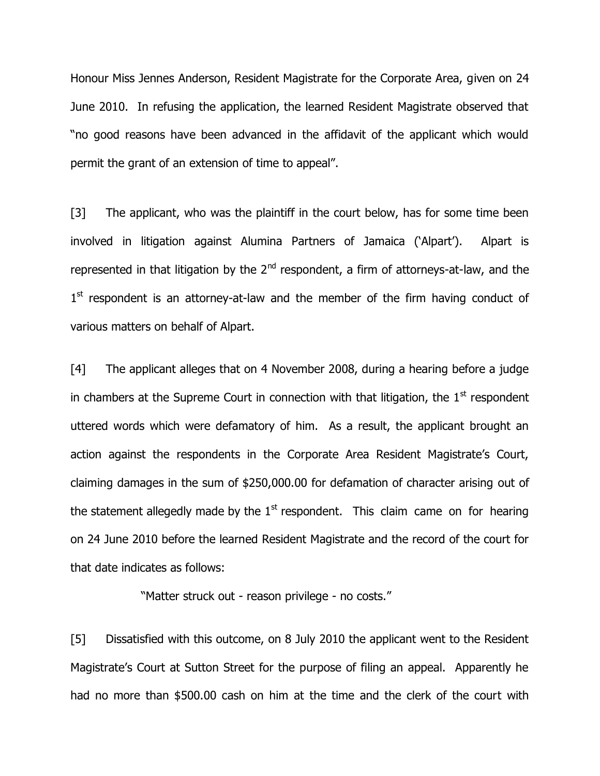Honour Miss Jennes Anderson, Resident Magistrate for the Corporate Area, given on 24 June 2010. In refusing the application, the learned Resident Magistrate observed that "no good reasons have been advanced in the affidavit of the applicant which would permit the grant of an extension of time to appeal".

[3] The applicant, who was the plaintiff in the court below, has for some time been involved in litigation against Alumina Partners of Jamaica ('Alpart'). Alpart is represented in that litigation by the  $2<sup>nd</sup>$  respondent, a firm of attorneys-at-law, and the 1<sup>st</sup> respondent is an attorney-at-law and the member of the firm having conduct of various matters on behalf of Alpart.

[4] The applicant alleges that on 4 November 2008, during a hearing before a judge in chambers at the Supreme Court in connection with that litigation, the  $1<sup>st</sup>$  respondent uttered words which were defamatory of him. As a result, the applicant brought an action against the respondents in the Corporate Area Resident Magistrate's Court, claiming damages in the sum of \$250,000.00 for defamation of character arising out of the statement allegedly made by the  $1<sup>st</sup>$  respondent. This claim came on for hearing on 24 June 2010 before the learned Resident Magistrate and the record of the court for that date indicates as follows:

"Matter struck out - reason privilege - no costs."

[5] Dissatisfied with this outcome, on 8 July 2010 the applicant went to the Resident Magistrate"s Court at Sutton Street for the purpose of filing an appeal. Apparently he had no more than \$500.00 cash on him at the time and the clerk of the court with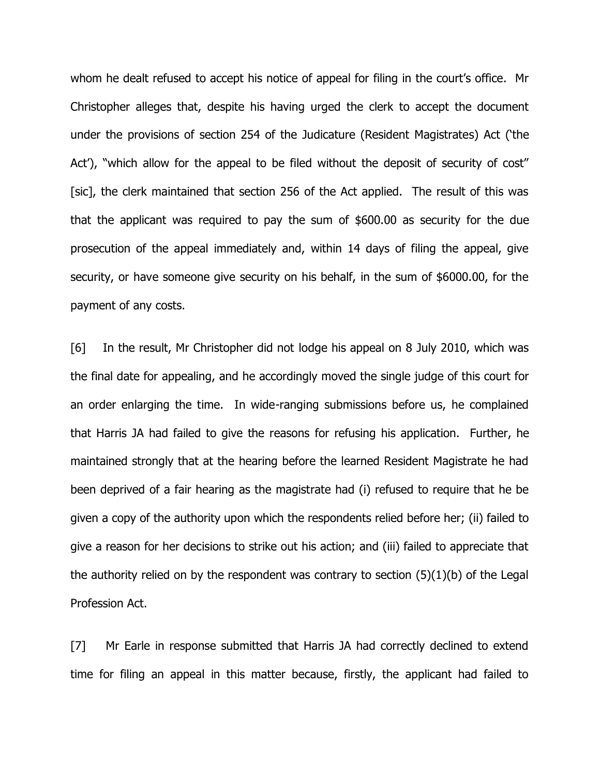whom he dealt refused to accept his notice of appeal for filing in the court's office. Mr Christopher alleges that, despite his having urged the clerk to accept the document under the provisions of section 254 of the Judicature (Resident Magistrates) Act ("the Act'), "which allow for the appeal to be filed without the deposit of security of cost" [sic], the clerk maintained that section 256 of the Act applied. The result of this was that the applicant was required to pay the sum of \$600.00 as security for the due prosecution of the appeal immediately and, within 14 days of filing the appeal, give security, or have someone give security on his behalf, in the sum of \$6000.00, for the payment of any costs.

[6] In the result, Mr Christopher did not lodge his appeal on 8 July 2010, which was the final date for appealing, and he accordingly moved the single judge of this court for an order enlarging the time. In wide-ranging submissions before us, he complained that Harris JA had failed to give the reasons for refusing his application. Further, he maintained strongly that at the hearing before the learned Resident Magistrate he had been deprived of a fair hearing as the magistrate had (i) refused to require that he be given a copy of the authority upon which the respondents relied before her; (ii) failed to give a reason for her decisions to strike out his action; and (iii) failed to appreciate that the authority relied on by the respondent was contrary to section (5)(1)(b) of the Legal Profession Act.

[7] Mr Earle in response submitted that Harris JA had correctly declined to extend time for filing an appeal in this matter because, firstly, the applicant had failed to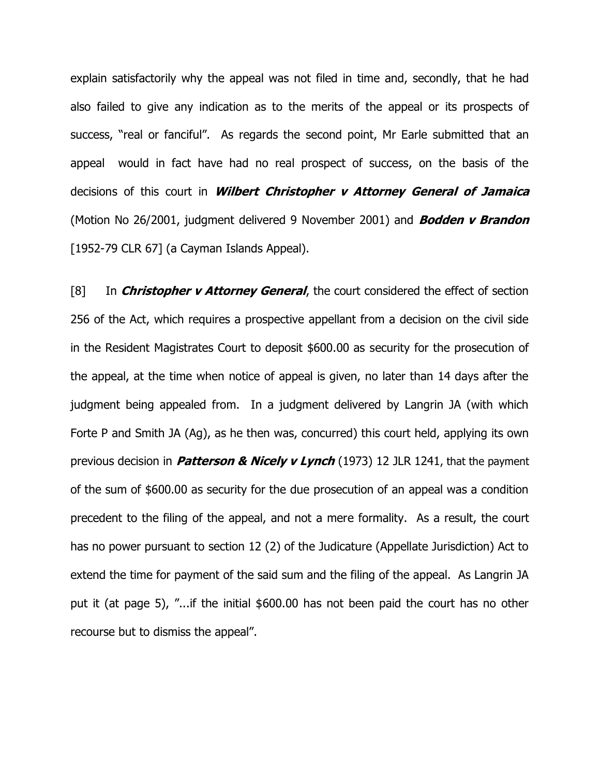explain satisfactorily why the appeal was not filed in time and, secondly, that he had also failed to give any indication as to the merits of the appeal or its prospects of success, "real or fanciful". As regards the second point, Mr Earle submitted that an appeal would in fact have had no real prospect of success, on the basis of the decisions of this court in **Wilbert Christopher v Attorney General of Jamaica**  (Motion No 26/2001, judgment delivered 9 November 2001) and **Bodden v Brandon**  [1952-79 CLR 67] (a Cayman Islands Appeal).

[8] In **Christopher v Attorney General**, the court considered the effect of section 256 of the Act, which requires a prospective appellant from a decision on the civil side in the Resident Magistrates Court to deposit \$600.00 as security for the prosecution of the appeal, at the time when notice of appeal is given, no later than 14 days after the judgment being appealed from. In a judgment delivered by Langrin JA (with which Forte P and Smith JA (Ag), as he then was, concurred) this court held, applying its own previous decision in **Patterson & Nicely v Lynch** (1973) 12 JLR 1241, that the payment of the sum of \$600.00 as security for the due prosecution of an appeal was a condition precedent to the filing of the appeal, and not a mere formality. As a result, the court has no power pursuant to section 12 (2) of the Judicature (Appellate Jurisdiction) Act to extend the time for payment of the said sum and the filing of the appeal. As Langrin JA put it (at page 5), "...if the initial \$600.00 has not been paid the court has no other recourse but to dismiss the appeal".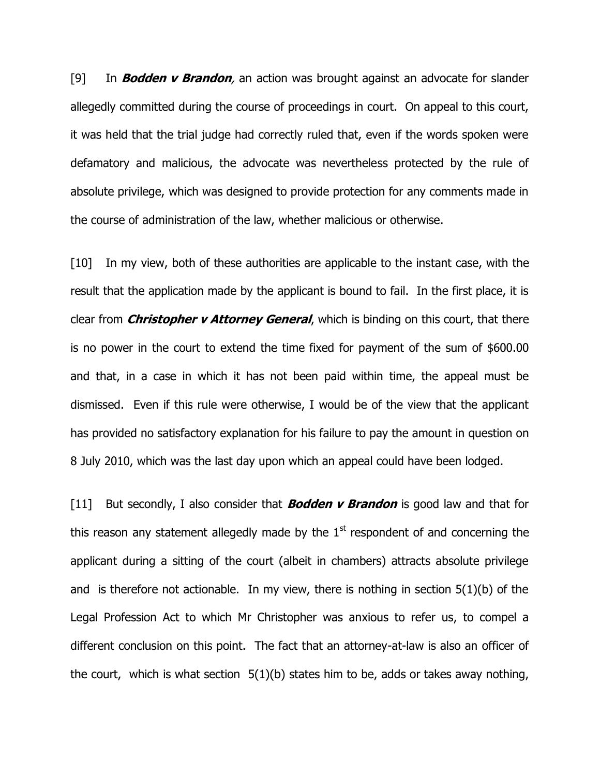[9] In **Bodden v Brandon**, an action was brought against an advocate for slander allegedly committed during the course of proceedings in court. On appeal to this court, it was held that the trial judge had correctly ruled that, even if the words spoken were defamatory and malicious, the advocate was nevertheless protected by the rule of absolute privilege, which was designed to provide protection for any comments made in the course of administration of the law, whether malicious or otherwise.

[10] In my view, both of these authorities are applicable to the instant case, with the result that the application made by the applicant is bound to fail. In the first place, it is clear from **Christopher v Attorney General**, which is binding on this court, that there is no power in the court to extend the time fixed for payment of the sum of \$600.00 and that, in a case in which it has not been paid within time, the appeal must be dismissed. Even if this rule were otherwise, I would be of the view that the applicant has provided no satisfactory explanation for his failure to pay the amount in question on 8 July 2010, which was the last day upon which an appeal could have been lodged.

[11] But secondly, I also consider that **Bodden v Brandon** is good law and that for this reason any statement allegedly made by the  $1<sup>st</sup>$  respondent of and concerning the applicant during a sitting of the court (albeit in chambers) attracts absolute privilege and is therefore not actionable. In my view, there is nothing in section  $5(1)(b)$  of the Legal Profession Act to which Mr Christopher was anxious to refer us, to compel a different conclusion on this point. The fact that an attorney-at-law is also an officer of the court, which is what section  $5(1)(b)$  states him to be, adds or takes away nothing,